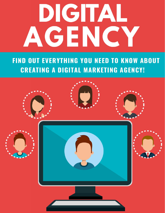## DIGITAL AGENCY

**FIND OUT EVERYTHING YOU NEED TO KNOW ABOUT CREATING A DIGITAL MARKETING AGENCY!** 

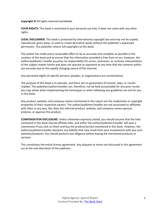**Copyright ©** All rights reserved worldwide.

**YOUR RIGHTS:** This book is restricted to your personal use only. It does not come with any other rights.

**LEGAL DISCLAIMER:** This book is protected by international copyright law and may not be copied, reproduced, given away, or used to create derivative works without the publisher's expressed permission. The publisher retains full copyrights to this book.

The author has made every reasonable effort to be as accurate and complete as possible in the creation of this book and to ensure that the information provided is free from errors; however, the author/publisher/ reseller assumes no responsibility for errors, omissions, or contrary interpretation of the subject matter herein and does not warrant or represent at any time that the contents within are accurate due to the rapidly changing nature of the internet.

Any perceived slights of specific persons, peoples, or organizations are unintentional.

The purpose of this book is to educate, and there are no guarantees of income, sales, or results implied. The publisher/author/reseller can, therefore, not be held accountable for any poor results you may attain when implementing the techniques or when following any guidelines set out for you in this book.

Any product, website, and company names mentioned in this report are the trademarks or copyright properties of their respective owners. The author/publisher/reseller are not associated or affiliated with them in any way. Nor does the referred product, website, and company names sponsor, endorse, or approve this product.

**COMPENSATION DISCLOSURE:** Unless otherwise expressly stated, you should assume that the links contained in this book may be affiliate links, and either the author/publisher/reseller will earn a commission if you click on them and buy the product/service mentioned in this book. However, the author/publisher/reseller disclaims any liability that may result from your involvement with any such websites/products. You should perform due diligence before buying the mentioned products or services.

This constitutes the entire license agreement. Any disputes or terms not discussed in this agreement are at the sole discretion of the publisher.